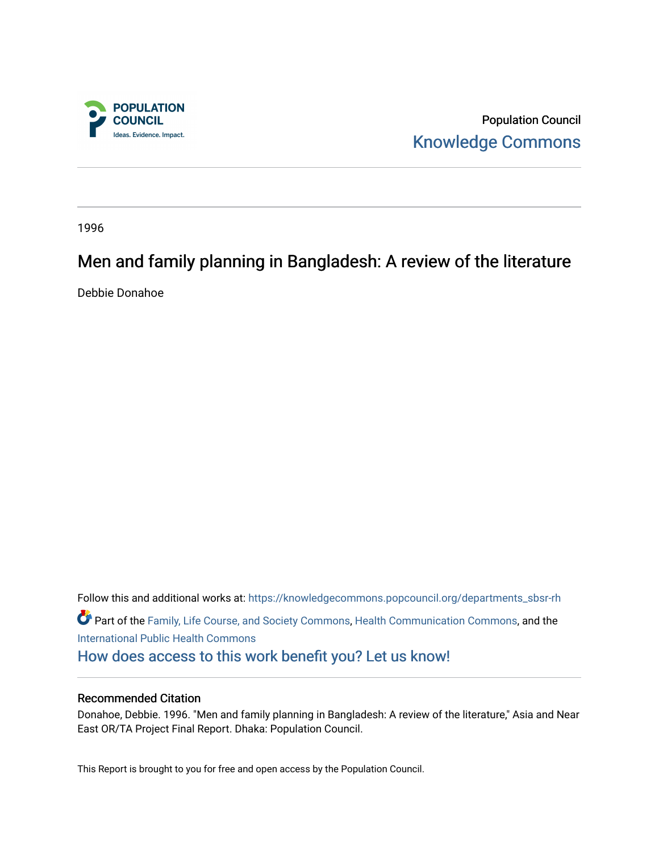

Population Council [Knowledge Commons](https://knowledgecommons.popcouncil.org/) 

1996

# Men and family planning in Bangladesh: A review of the literature

Debbie Donahoe

Follow this and additional works at: [https://knowledgecommons.popcouncil.org/departments\\_sbsr-rh](https://knowledgecommons.popcouncil.org/departments_sbsr-rh?utm_source=knowledgecommons.popcouncil.org%2Fdepartments_sbsr-rh%2F2016&utm_medium=PDF&utm_campaign=PDFCoverPages)  Part of the [Family, Life Course, and Society Commons,](https://network.bepress.com/hgg/discipline/419?utm_source=knowledgecommons.popcouncil.org%2Fdepartments_sbsr-rh%2F2016&utm_medium=PDF&utm_campaign=PDFCoverPages) [Health Communication Commons,](https://network.bepress.com/hgg/discipline/330?utm_source=knowledgecommons.popcouncil.org%2Fdepartments_sbsr-rh%2F2016&utm_medium=PDF&utm_campaign=PDFCoverPages) and the [International Public Health Commons](https://network.bepress.com/hgg/discipline/746?utm_source=knowledgecommons.popcouncil.org%2Fdepartments_sbsr-rh%2F2016&utm_medium=PDF&utm_campaign=PDFCoverPages)  [How does access to this work benefit you? Let us know!](https://pcouncil.wufoo.com/forms/open-access-to-population-council-research/)

#### Recommended Citation

Donahoe, Debbie. 1996. "Men and family planning in Bangladesh: A review of the literature," Asia and Near East OR/TA Project Final Report. Dhaka: Population Council.

This Report is brought to you for free and open access by the Population Council.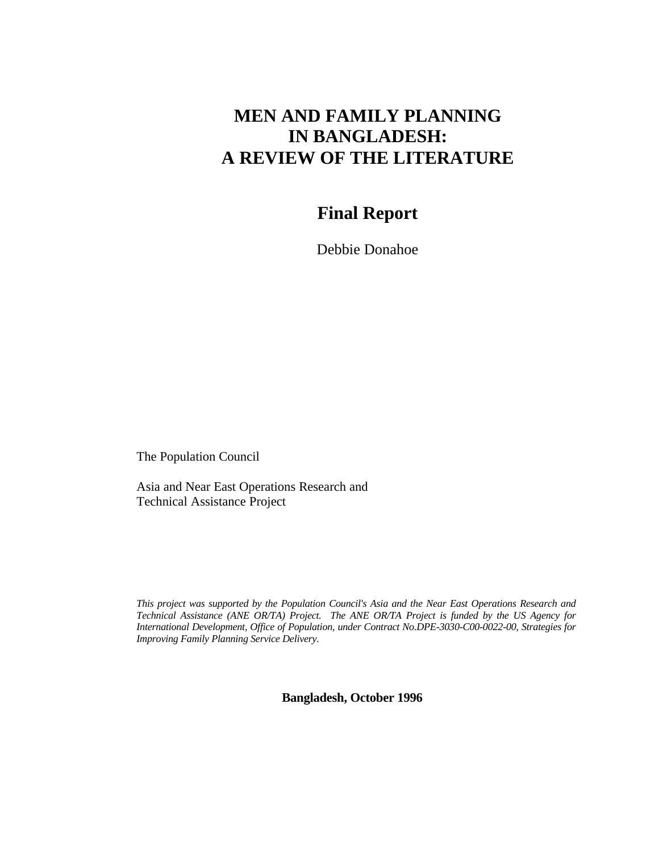# **MEN AND FAMILY PLANNING IN BANGLADESH: A REVIEW OF THE LITERATURE**

## **Final Report**

Debbie Donahoe

The Population Council

Asia and Near East Operations Research and Technical Assistance Project

*This project was supported by the Population Council's Asia and the Near East Operations Research and Technical Assistance (ANE OR/TA) Project. The ANE OR/TA Project is funded by the US Agency for International Development, Office of Population, under Contract No.DPE-3030-C00-0022-00, Strategies for Improving Family Planning Service Delivery.*

**Bangladesh, October 1996**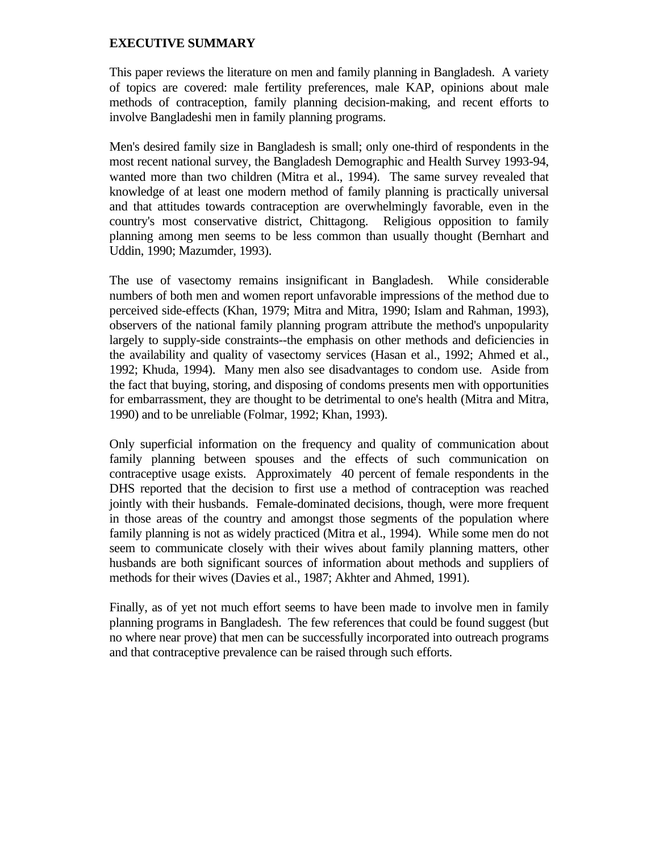## **EXECUTIVE SUMMARY**

This paper reviews the literature on men and family planning in Bangladesh. A variety of topics are covered: male fertility preferences, male KAP, opinions about male methods of contraception, family planning decision-making, and recent efforts to involve Bangladeshi men in family planning programs.

Men's desired family size in Bangladesh is small; only one-third of respondents in the most recent national survey, the Bangladesh Demographic and Health Survey 1993-94, wanted more than two children (Mitra et al., 1994). The same survey revealed that knowledge of at least one modern method of family planning is practically universal and that attitudes towards contraception are overwhelmingly favorable, even in the country's most conservative district, Chittagong. Religious opposition to family planning among men seems to be less common than usually thought (Bernhart and Uddin, 1990; Mazumder, 1993).

The use of vasectomy remains insignificant in Bangladesh. While considerable numbers of both men and women report unfavorable impressions of the method due to perceived side-effects (Khan, 1979; Mitra and Mitra, 1990; Islam and Rahman, 1993), observers of the national family planning program attribute the method's unpopularity largely to supply-side constraints--the emphasis on other methods and deficiencies in the availability and quality of vasectomy services (Hasan et al., 1992; Ahmed et al., 1992; Khuda, 1994). Many men also see disadvantages to condom use. Aside from the fact that buying, storing, and disposing of condoms presents men with opportunities for embarrassment, they are thought to be detrimental to one's health (Mitra and Mitra, 1990) and to be unreliable (Folmar, 1992; Khan, 1993).

Only superficial information on the frequency and quality of communication about family planning between spouses and the effects of such communication on contraceptive usage exists. Approximately 40 percent of female respondents in the DHS reported that the decision to first use a method of contraception was reached jointly with their husbands. Female-dominated decisions, though, were more frequent in those areas of the country and amongst those segments of the population where family planning is not as widely practiced (Mitra et al., 1994). While some men do not seem to communicate closely with their wives about family planning matters, other husbands are both significant sources of information about methods and suppliers of methods for their wives (Davies et al., 1987; Akhter and Ahmed, 1991).

Finally, as of yet not much effort seems to have been made to involve men in family planning programs in Bangladesh. The few references that could be found suggest (but no where near prove) that men can be successfully incorporated into outreach programs and that contraceptive prevalence can be raised through such efforts.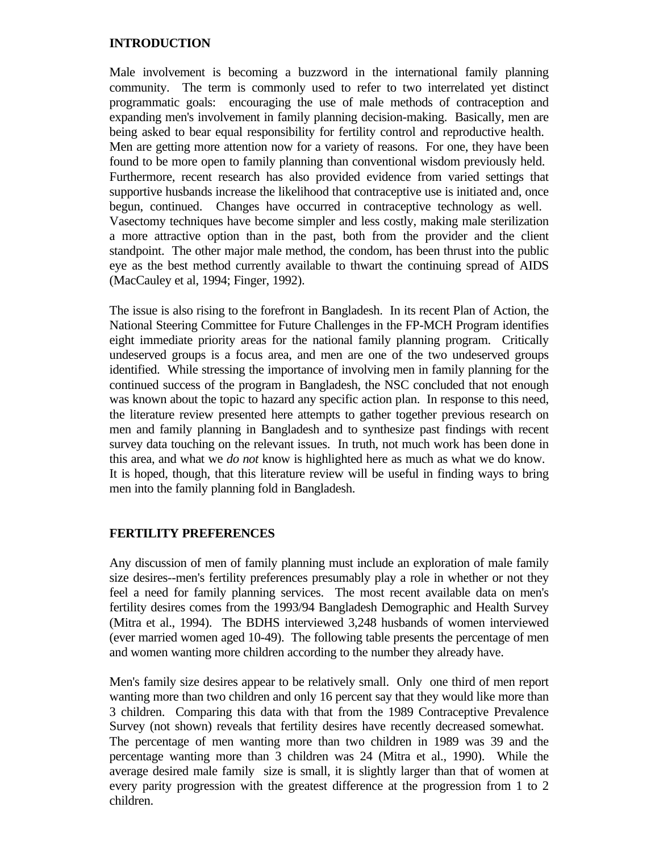## **INTRODUCTION**

Male involvement is becoming a buzzword in the international family planning community. The term is commonly used to refer to two interrelated yet distinct programmatic goals: encouraging the use of male methods of contraception and expanding men's involvement in family planning decision-making. Basically, men are being asked to bear equal responsibility for fertility control and reproductive health. Men are getting more attention now for a variety of reasons. For one, they have been found to be more open to family planning than conventional wisdom previously held. Furthermore, recent research has also provided evidence from varied settings that supportive husbands increase the likelihood that contraceptive use is initiated and, once begun, continued. Changes have occurred in contraceptive technology as well. Vasectomy techniques have become simpler and less costly, making male sterilization a more attractive option than in the past, both from the provider and the client standpoint. The other major male method, the condom, has been thrust into the public eye as the best method currently available to thwart the continuing spread of AIDS (MacCauley et al, 1994; Finger, 1992).

The issue is also rising to the forefront in Bangladesh. In its recent Plan of Action, the National Steering Committee for Future Challenges in the FP-MCH Program identifies eight immediate priority areas for the national family planning program. Critically undeserved groups is a focus area, and men are one of the two undeserved groups identified. While stressing the importance of involving men in family planning for the continued success of the program in Bangladesh, the NSC concluded that not enough was known about the topic to hazard any specific action plan. In response to this need, the literature review presented here attempts to gather together previous research on men and family planning in Bangladesh and to synthesize past findings with recent survey data touching on the relevant issues. In truth, not much work has been done in this area, and what we *do not* know is highlighted here as much as what we do know. It is hoped, though, that this literature review will be useful in finding ways to bring men into the family planning fold in Bangladesh.

## **FERTILITY PREFERENCES**

Any discussion of men of family planning must include an exploration of male family size desires--men's fertility preferences presumably play a role in whether or not they feel a need for family planning services. The most recent available data on men's fertility desires comes from the 1993/94 Bangladesh Demographic and Health Survey (Mitra et al., 1994). The BDHS interviewed 3,248 husbands of women interviewed (ever married women aged 10-49). The following table presents the percentage of men and women wanting more children according to the number they already have.

Men's family size desires appear to be relatively small. Only one third of men report wanting more than two children and only 16 percent say that they would like more than 3 children. Comparing this data with that from the 1989 Contraceptive Prevalence Survey (not shown) reveals that fertility desires have recently decreased somewhat. The percentage of men wanting more than two children in 1989 was 39 and the percentage wanting more than 3 children was 24 (Mitra et al., 1990). While the average desired male family size is small, it is slightly larger than that of women at every parity progression with the greatest difference at the progression from 1 to 2 children.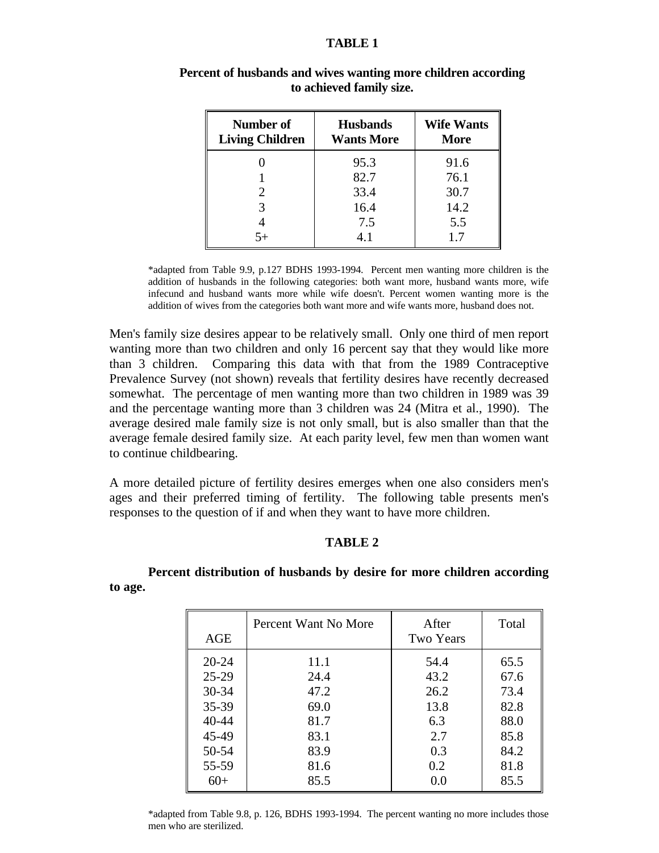#### **TABLE 1**

| Number of<br><b>Living Children</b> | <b>Husbands</b><br><b>Wants More</b> | <b>Wife Wants</b><br><b>More</b> |  |  |
|-------------------------------------|--------------------------------------|----------------------------------|--|--|
|                                     | 95.3                                 | 91.6                             |  |  |
|                                     | 82.7                                 | 76.1                             |  |  |
| $\mathcal{D}_{\cdot}$               | 33.4                                 | 30.7                             |  |  |
| 3                                   | 16.4                                 | 14.2                             |  |  |
|                                     | 7.5                                  | 5.5                              |  |  |
| $5+$                                | 4.1                                  | 1.7                              |  |  |

## **Percent of husbands and wives wanting more children according to achieved family size.**

\*adapted from Table 9.9, p.127 BDHS 1993-1994. Percent men wanting more children is the addition of husbands in the following categories: both want more, husband wants more, wife infecund and husband wants more while wife doesn't. Percent women wanting more is the addition of wives from the categories both want more and wife wants more, husband does not.

Men's family size desires appear to be relatively small. Only one third of men report wanting more than two children and only 16 percent say that they would like more than 3 children. Comparing this data with that from the 1989 Contraceptive Prevalence Survey (not shown) reveals that fertility desires have recently decreased somewhat. The percentage of men wanting more than two children in 1989 was 39 and the percentage wanting more than 3 children was 24 (Mitra et al., 1990). The average desired male family size is not only small, but is also smaller than that the average female desired family size. At each parity level, few men than women want to continue childbearing.

A more detailed picture of fertility desires emerges when one also considers men's ages and their preferred timing of fertility. The following table presents men's responses to the question of if and when they want to have more children.

### **TABLE 2**

**Percent distribution of husbands by desire for more children according to age.**

| AGE       | Percent Want No More | After<br><b>Two Years</b> | Total |
|-----------|----------------------|---------------------------|-------|
| $20 - 24$ | 11.1                 | 54.4                      | 65.5  |
| $25-29$   | 24.4                 | 43.2                      | 67.6  |
| $30 - 34$ | 47.2                 | 26.2                      | 73.4  |
| $35 - 39$ | 69.0                 | 13.8                      | 82.8  |
| $40 - 44$ | 81.7                 | 6.3                       | 88.0  |
| 45-49     | 83.1                 | 2.7                       | 85.8  |
| 50-54     | 83.9                 | 0.3                       | 84.2  |
| 55-59     | 81.6                 | 0.2                       | 81.8  |
| $60+$     | 85.5                 | 0.0                       | 85.5  |

\*adapted from Table 9.8, p. 126, BDHS 1993-1994. The percent wanting no more includes those men who are sterilized.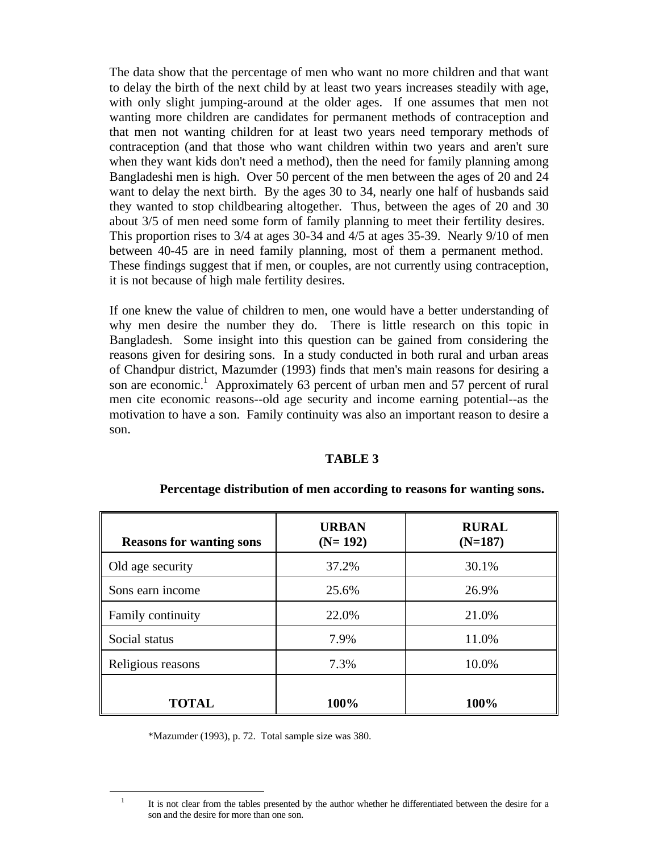The data show that the percentage of men who want no more children and that want to delay the birth of the next child by at least two years increases steadily with age, with only slight jumping-around at the older ages. If one assumes that men not wanting more children are candidates for permanent methods of contraception and that men not wanting children for at least two years need temporary methods of contraception (and that those who want children within two years and aren't sure when they want kids don't need a method), then the need for family planning among Bangladeshi men is high. Over 50 percent of the men between the ages of 20 and 24 want to delay the next birth. By the ages 30 to 34, nearly one half of husbands said they wanted to stop childbearing altogether. Thus, between the ages of 20 and 30 about 3/5 of men need some form of family planning to meet their fertility desires. This proportion rises to 3/4 at ages 30-34 and 4/5 at ages 35-39. Nearly 9/10 of men between 40-45 are in need family planning, most of them a permanent method. These findings suggest that if men, or couples, are not currently using contraception, it is not because of high male fertility desires.

If one knew the value of children to men, one would have a better understanding of why men desire the number they do. There is little research on this topic in Bangladesh. Some insight into this question can be gained from considering the reasons given for desiring sons. In a study conducted in both rural and urban areas of Chandpur district, Mazumder (1993) finds that men's main reasons for desiring a son are economic.<sup>1</sup> Approximately 63 percent of urban men and 57 percent of rural men cite economic reasons--old age security and income earning potential--as the motivation to have a son. Family continuity was also an important reason to desire a son.

#### **TABLE 3**

| <b>Reasons for wanting sons</b> | <b>URBAN</b><br>$(N=192)$ | <b>RURAL</b><br>$(N=187)$ |
|---------------------------------|---------------------------|---------------------------|
| Old age security                | 37.2%                     | 30.1%                     |
| Sons earn income                | 25.6%                     | 26.9%                     |
| Family continuity               | 22.0%                     | 21.0%                     |
| Social status                   | 7.9%                      | 11.0%                     |
| Religious reasons               | 7.3%                      | 10.0%                     |
| <b>TOTAL</b>                    | 100%                      | 100%                      |

#### **Percentage distribution of men according to reasons for wanting sons.**

\*Mazumder (1993), p. 72. Total sample size was 380.

i

<sup>1</sup> It is not clear from the tables presented by the author whether he differentiated between the desire for a son and the desire for more than one son.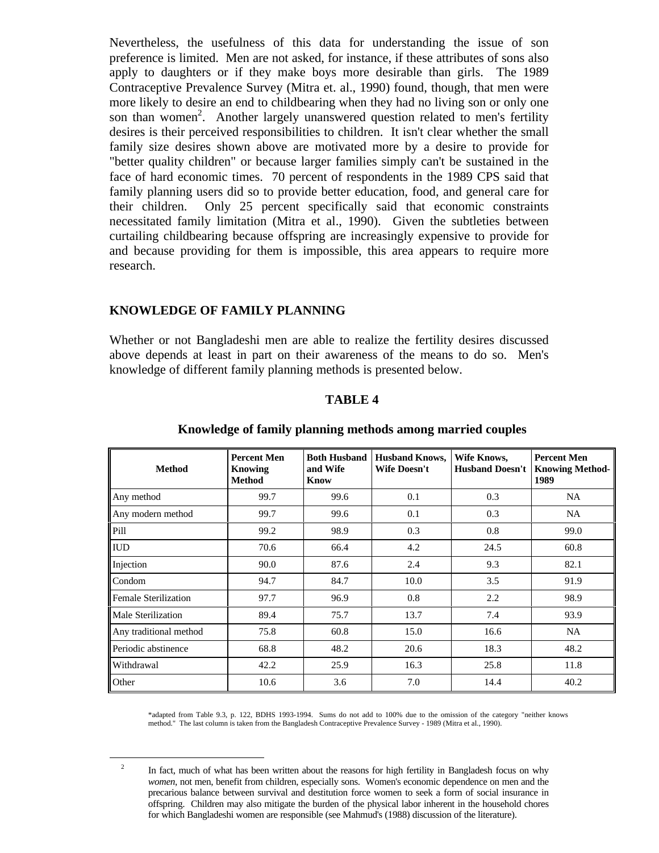Nevertheless, the usefulness of this data for understanding the issue of son preference is limited. Men are not asked, for instance, if these attributes of sons also apply to daughters or if they make boys more desirable than girls. The 1989 Contraceptive Prevalence Survey (Mitra et. al., 1990) found, though, that men were more likely to desire an end to childbearing when they had no living son or only one son than women<sup>2</sup>. Another largely unanswered question related to men's fertility desires is their perceived responsibilities to children. It isn't clear whether the small family size desires shown above are motivated more by a desire to provide for "better quality children" or because larger families simply can't be sustained in the face of hard economic times. 70 percent of respondents in the 1989 CPS said that family planning users did so to provide better education, food, and general care for their children. Only 25 percent specifically said that economic constraints necessitated family limitation (Mitra et al., 1990). Given the subtleties between curtailing childbearing because offspring are increasingly expensive to provide for and because providing for them is impossible, this area appears to require more research.

### **KNOWLEDGE OF FAMILY PLANNING**

Whether or not Bangladeshi men are able to realize the fertility desires discussed above depends at least in part on their awareness of the means to do so. Men's knowledge of different family planning methods is presented below.

#### **TABLE 4**

| <b>Method</b>               | <b>Percent Men</b><br>Knowing<br><b>Method</b> | <b>Both Husband</b><br>and Wife<br>Know | <b>Husband Knows,</b><br><b>Wife Doesn't</b> | Wife Knows,<br><b>Husband Doesn't</b> | <b>Percent Men</b><br><b>Knowing Method-</b><br>1989 |
|-----------------------------|------------------------------------------------|-----------------------------------------|----------------------------------------------|---------------------------------------|------------------------------------------------------|
| Any method                  | 99.7                                           | 99.6                                    | 0.1                                          | 0.3                                   | NA                                                   |
| Any modern method           | 99.7                                           | 99.6                                    | 0.1                                          | 0.3                                   | NA.                                                  |
| Pill                        | 99.2                                           | 98.9                                    | 0.3                                          | 0.8                                   | 99.0                                                 |
| <b>IUD</b>                  | 70.6                                           | 66.4                                    | 4.2                                          | 24.5                                  | 60.8                                                 |
| Injection                   | 90.0                                           | 87.6                                    | 2.4                                          | 9.3                                   | 82.1                                                 |
| Condom                      | 94.7                                           | 84.7                                    | 10.0                                         | 3.5                                   | 91.9                                                 |
| <b>Female Sterilization</b> | 97.7                                           | 96.9                                    | 0.8                                          | 2.2                                   | 98.9                                                 |
| Male Sterilization          | 89.4                                           | 75.7                                    | 13.7                                         | 7.4                                   | 93.9                                                 |
| Any traditional method      | 75.8                                           | 60.8                                    | 15.0                                         | 16.6                                  | NA.                                                  |
| Periodic abstinence         | 68.8                                           | 48.2                                    | 20.6                                         | 18.3                                  | 48.2                                                 |
| Withdrawal                  | 42.2                                           | 25.9                                    | 16.3                                         | 25.8                                  | 11.8                                                 |
| Other                       | 10.6                                           | 3.6                                     | 7.0                                          | 14.4                                  | 40.2                                                 |

#### **Knowledge of family planning methods among married couples**

\*adapted from Table 9.3, p. 122, BDHS 1993-1994. Sums do not add to 100% due to the omission of the category "neither knows method." The last column is taken from the Bangladesh Contraceptive Prevalence Survey - 1989 (Mitra et al., 1990).

i 2

In fact, much of what has been written about the reasons for high fertility in Bangladesh focus on why *women*, not men, benefit from children, especially sons. Women's economic dependence on men and the precarious balance between survival and destitution force women to seek a form of social insurance in offspring. Children may also mitigate the burden of the physical labor inherent in the household chores for which Bangladeshi women are responsible (see Mahmud's (1988) discussion of the literature).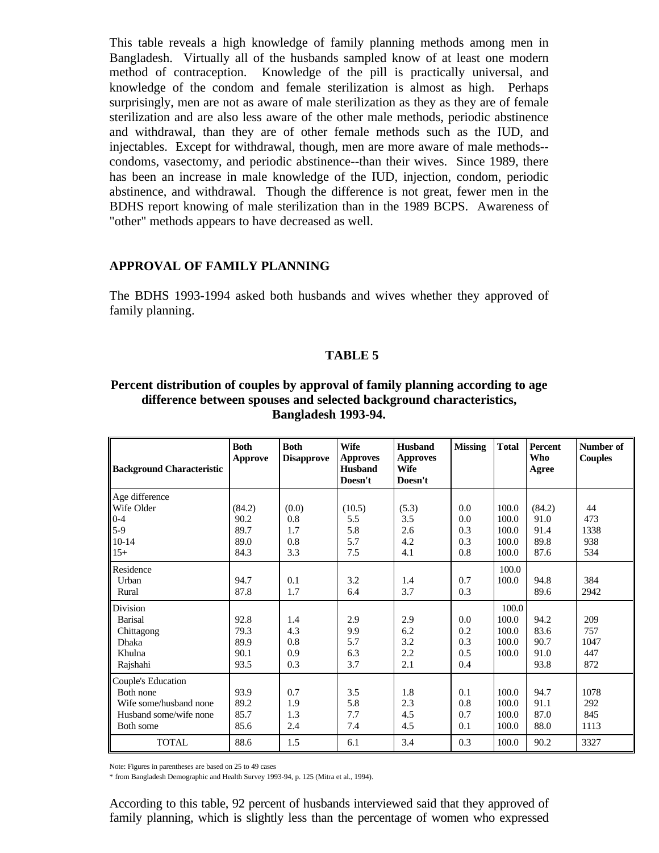This table reveals a high knowledge of family planning methods among men in Bangladesh. Virtually all of the husbands sampled know of at least one modern method of contraception. Knowledge of the pill is practically universal, and knowledge of the condom and female sterilization is almost as high. Perhaps surprisingly, men are not as aware of male sterilization as they as they are of female sterilization and are also less aware of the other male methods, periodic abstinence and withdrawal, than they are of other female methods such as the IUD, and injectables. Except for withdrawal, though, men are more aware of male methods- condoms, vasectomy, and periodic abstinence--than their wives. Since 1989, there has been an increase in male knowledge of the IUD, injection, condom, periodic abstinence, and withdrawal. Though the difference is not great, fewer men in the BDHS report knowing of male sterilization than in the 1989 BCPS. Awareness of "other" methods appears to have decreased as well.

#### **APPROVAL OF FAMILY PLANNING**

The BDHS 1993-1994 asked both husbands and wives whether they approved of family planning.

#### **TABLE 5**

## **Percent distribution of couples by approval of family planning according to age difference between spouses and selected background characteristics, Bangladesh 1993-94.**

| <b>Background Characteristic</b> | <b>Both</b><br>Approve | <b>Both</b><br><b>Disapprove</b> | <b>Wife</b><br><b>Approves</b><br><b>Husband</b><br>Doesn't | <b>Husband</b><br><b>Approves</b><br>Wife<br>Doesn't | <b>Missing</b> | <b>Total</b> | Percent<br>Who<br>Agree | Number of<br><b>Couples</b> |
|----------------------------------|------------------------|----------------------------------|-------------------------------------------------------------|------------------------------------------------------|----------------|--------------|-------------------------|-----------------------------|
| Age difference                   |                        |                                  |                                                             |                                                      |                |              |                         |                             |
| Wife Older                       | (84.2)                 | (0.0)                            | (10.5)                                                      | (5.3)                                                | 0.0            | 100.0        | (84.2)                  | 44                          |
| $0 - 4$                          | 90.2                   | 0.8                              | 5.5                                                         | 3.5                                                  | 0.0            | 100.0        | 91.0                    | 473                         |
| $5-9$                            | 89.7                   | 1.7                              | 5.8                                                         | 2.6                                                  | 0.3            | 100.0        | 91.4                    | 1338                        |
| $10 - 14$                        | 89.0                   | 0.8                              | 5.7                                                         | 4.2                                                  | 0.3            | 100.0        | 89.8                    | 938                         |
| $15+$                            | 84.3                   | 3.3                              | 7.5                                                         | 4.1                                                  | 0.8            | 100.0        | 87.6                    | 534                         |
| Residence                        |                        |                                  |                                                             |                                                      |                | 100.0        |                         |                             |
| Urban                            | 94.7                   | 0.1                              | 3.2                                                         | 1.4                                                  | 0.7            | 100.0        | 94.8                    | 384                         |
| Rural                            | 87.8                   | 1.7                              | 6.4                                                         | 3.7                                                  | 0.3            |              | 89.6                    | 2942                        |
| Division                         |                        |                                  |                                                             |                                                      |                | 100.0        |                         |                             |
| <b>Barisal</b>                   | 92.8                   | 1.4                              | 2.9                                                         | 2.9                                                  | 0.0            | 100.0        | 94.2                    | 209                         |
| Chittagong                       | 79.3                   | 4.3                              | 9.9                                                         | 6.2                                                  | 0.2            | 100.0        | 83.6                    | 757                         |
| Dhaka                            | 89.9                   | 0.8                              | 5.7                                                         | 3.2                                                  | 0.3            | 100.0        | 90.7                    | 1047                        |
| Khulna                           | 90.1                   | 0.9                              | 6.3                                                         | 2.2                                                  | 0.5            | 100.0        | 91.0                    | 447                         |
| Rajshahi                         | 93.5                   | 0.3                              | 3.7                                                         | 2.1                                                  | 0.4            |              | 93.8                    | 872                         |
| Couple's Education               |                        |                                  |                                                             |                                                      |                |              |                         |                             |
| Both none                        | 93.9                   | 0.7                              | 3.5                                                         | 1.8                                                  | 0.1            | 100.0        | 94.7                    | 1078                        |
| Wife some/husband none           | 89.2                   | 1.9                              | 5.8                                                         | 2.3                                                  | 0.8            | 100.0        | 91.1                    | 292                         |
| Husband some/wife none           | 85.7                   | 1.3                              | 7.7                                                         | 4.5                                                  | 0.7            | 100.0        | 87.0                    | 845                         |
| Both some                        | 85.6                   | 2.4                              | 7.4                                                         | 4.5                                                  | 0.1            | 100.0        | 88.0                    | 1113                        |
| <b>TOTAL</b>                     | 88.6                   | 1.5                              | 6.1                                                         | 3.4                                                  | 0.3            | 100.0        | 90.2                    | 3327                        |

Note: Figures in parentheses are based on 25 to 49 cases

\* from Bangladesh Demographic and Health Survey 1993-94, p. 125 (Mitra et al., 1994).

According to this table, 92 percent of husbands interviewed said that they approved of family planning, which is slightly less than the percentage of women who expressed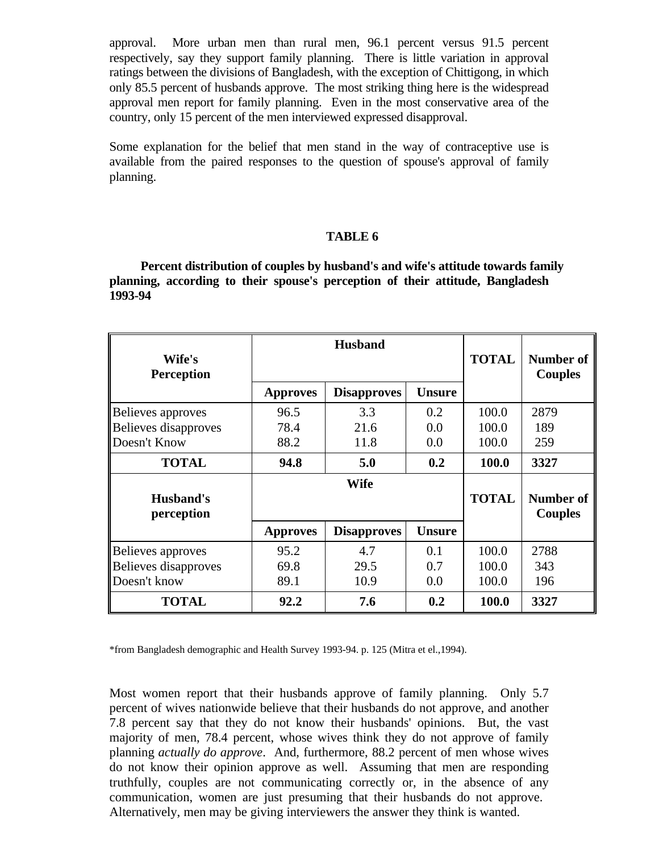approval. More urban men than rural men, 96.1 percent versus 91.5 percent respectively, say they support family planning. There is little variation in approval ratings between the divisions of Bangladesh, with the exception of Chittigong, in which only 85.5 percent of husbands approve. The most striking thing here is the widespread approval men report for family planning. Even in the most conservative area of the country, only 15 percent of the men interviewed expressed disapproval.

Some explanation for the belief that men stand in the way of contraceptive use is available from the paired responses to the question of spouse's approval of family planning.

#### **TABLE 6**

**Percent distribution of couples by husband's and wife's attitude towards family planning, according to their spouse's perception of their attitude, Bangladesh 1993-94**

| Wife's<br><b>Perception</b>                               |                      | <b>Husband</b>      | <b>TOTAL</b>      | <b>Number of</b><br><b>Couples</b> |                    |
|-----------------------------------------------------------|----------------------|---------------------|-------------------|------------------------------------|--------------------|
|                                                           | <b>Approves</b>      | <b>Disapproves</b>  | <b>Unsure</b>     |                                    |                    |
| Believes approves<br>Believes disapproves<br>Doesn't Know | 96.5<br>78.4<br>88.2 | 3.3<br>21.6<br>11.8 | 0.2<br>0.0<br>0.0 | 100.0<br>100.0<br>100.0            | 2879<br>189<br>259 |
| <b>TOTAL</b>                                              | 94.8                 | 5.0                 | 0.2               | 100.0                              | 3327               |
| Husband's<br>perception                                   |                      | Wife                | <b>TOTAL</b>      | Number of<br><b>Couples</b>        |                    |
|                                                           | <b>Approves</b>      | <b>Disapproves</b>  | <b>Unsure</b>     |                                    |                    |
| Believes approves<br>Believes disapproves<br>Doesn't know | 95.2<br>69.8<br>89.1 | 4.7<br>29.5<br>10.9 | 0.1<br>0.7<br>0.0 | 100.0<br>100.0<br>100.0            | 2788<br>343<br>196 |
| <b>TOTAL</b>                                              | 92.2                 | 7.6                 | 0.2               | 100.0                              | 3327               |

\*from Bangladesh demographic and Health Survey 1993-94. p. 125 (Mitra et el.,1994).

Most women report that their husbands approve of family planning. Only 5.7 percent of wives nationwide believe that their husbands do not approve, and another 7.8 percent say that they do not know their husbands' opinions. But, the vast majority of men, 78.4 percent, whose wives think they do not approve of family planning *actually do approve*. And, furthermore, 88.2 percent of men whose wives do not know their opinion approve as well. Assuming that men are responding truthfully, couples are not communicating correctly or, in the absence of any communication, women are just presuming that their husbands do not approve. Alternatively, men may be giving interviewers the answer they think is wanted.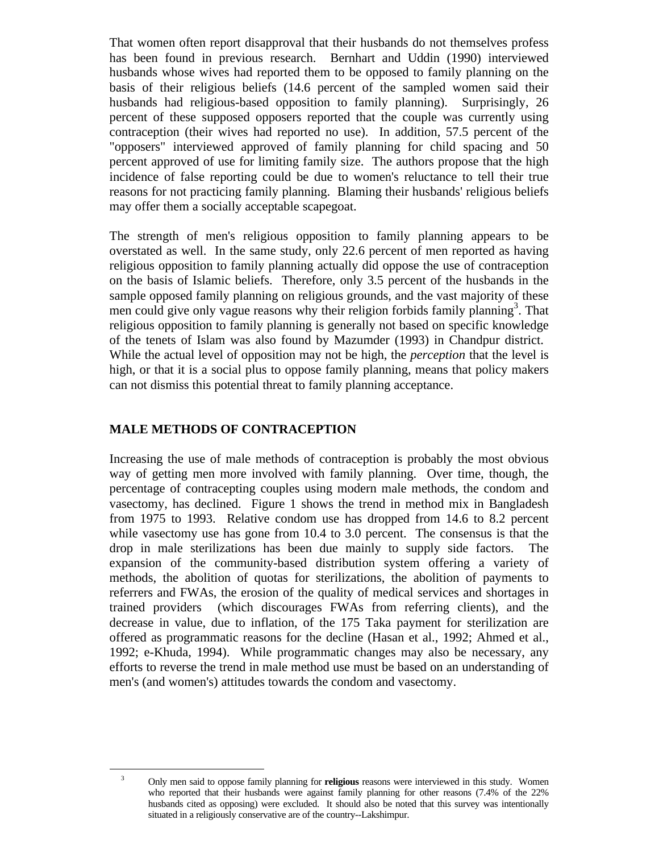That women often report disapproval that their husbands do not themselves profess has been found in previous research. Bernhart and Uddin (1990) interviewed husbands whose wives had reported them to be opposed to family planning on the basis of their religious beliefs (14.6 percent of the sampled women said their husbands had religious-based opposition to family planning). Surprisingly, 26 percent of these supposed opposers reported that the couple was currently using contraception (their wives had reported no use). In addition, 57.5 percent of the "opposers" interviewed approved of family planning for child spacing and 50 percent approved of use for limiting family size. The authors propose that the high incidence of false reporting could be due to women's reluctance to tell their true reasons for not practicing family planning. Blaming their husbands' religious beliefs may offer them a socially acceptable scapegoat.

The strength of men's religious opposition to family planning appears to be overstated as well. In the same study, only 22.6 percent of men reported as having religious opposition to family planning actually did oppose the use of contraception on the basis of Islamic beliefs. Therefore, only 3.5 percent of the husbands in the sample opposed family planning on religious grounds, and the vast majority of these men could give only vague reasons why their religion forbids family planning<sup>3</sup>. That religious opposition to family planning is generally not based on specific knowledge of the tenets of Islam was also found by Mazumder (1993) in Chandpur district. While the actual level of opposition may not be high, the *perception* that the level is high, or that it is a social plus to oppose family planning, means that policy makers can not dismiss this potential threat to family planning acceptance.

## **MALE METHODS OF CONTRACEPTION**

i

Increasing the use of male methods of contraception is probably the most obvious way of getting men more involved with family planning. Over time, though, the percentage of contracepting couples using modern male methods, the condom and vasectomy, has declined. Figure 1 shows the trend in method mix in Bangladesh from 1975 to 1993. Relative condom use has dropped from 14.6 to 8.2 percent while vasectomy use has gone from 10.4 to 3.0 percent. The consensus is that the drop in male sterilizations has been due mainly to supply side factors. The expansion of the community-based distribution system offering a variety of methods, the abolition of quotas for sterilizations, the abolition of payments to referrers and FWAs, the erosion of the quality of medical services and shortages in trained providers (which discourages FWAs from referring clients), and the decrease in value, due to inflation, of the 175 Taka payment for sterilization are offered as programmatic reasons for the decline (Hasan et al., 1992; Ahmed et al., 1992; e-Khuda, 1994). While programmatic changes may also be necessary, any efforts to reverse the trend in male method use must be based on an understanding of men's (and women's) attitudes towards the condom and vasectomy.

<sup>3</sup> Only men said to oppose family planning for **religious** reasons were interviewed in this study. Women who reported that their husbands were against family planning for other reasons (7.4% of the 22% husbands cited as opposing) were excluded. It should also be noted that this survey was intentionally situated in a religiously conservative are of the country--Lakshimpur.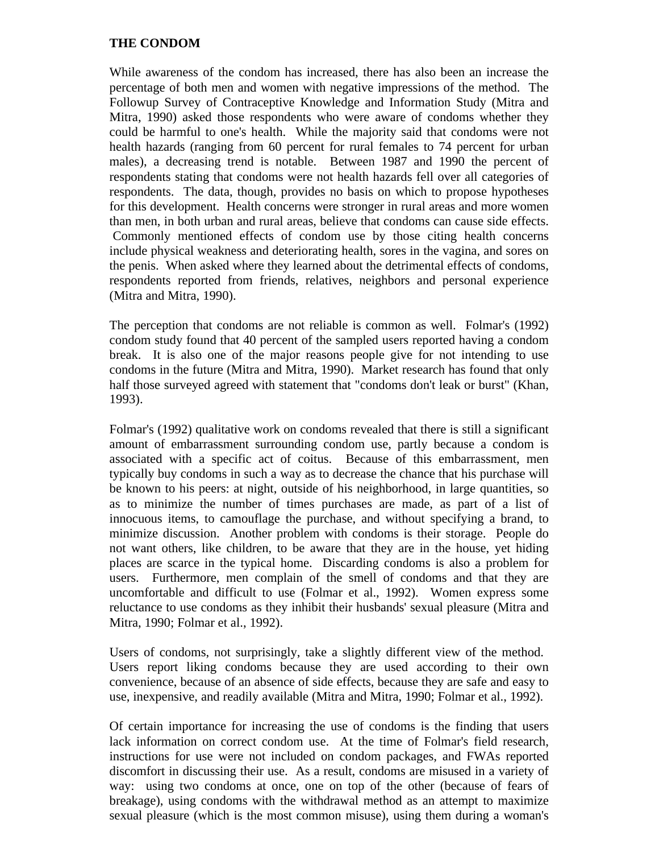## **THE CONDOM**

While awareness of the condom has increased, there has also been an increase the percentage of both men and women with negative impressions of the method. The Followup Survey of Contraceptive Knowledge and Information Study (Mitra and Mitra, 1990) asked those respondents who were aware of condoms whether they could be harmful to one's health. While the majority said that condoms were not health hazards (ranging from 60 percent for rural females to 74 percent for urban males), a decreasing trend is notable. Between 1987 and 1990 the percent of respondents stating that condoms were not health hazards fell over all categories of respondents. The data, though, provides no basis on which to propose hypotheses for this development. Health concerns were stronger in rural areas and more women than men, in both urban and rural areas, believe that condoms can cause side effects. Commonly mentioned effects of condom use by those citing health concerns include physical weakness and deteriorating health, sores in the vagina, and sores on the penis. When asked where they learned about the detrimental effects of condoms, respondents reported from friends, relatives, neighbors and personal experience (Mitra and Mitra, 1990).

The perception that condoms are not reliable is common as well. Folmar's (1992) condom study found that 40 percent of the sampled users reported having a condom break. It is also one of the major reasons people give for not intending to use condoms in the future (Mitra and Mitra, 1990). Market research has found that only half those surveyed agreed with statement that "condoms don't leak or burst" (Khan, 1993).

Folmar's (1992) qualitative work on condoms revealed that there is still a significant amount of embarrassment surrounding condom use, partly because a condom is associated with a specific act of coitus. Because of this embarrassment, men typically buy condoms in such a way as to decrease the chance that his purchase will be known to his peers: at night, outside of his neighborhood, in large quantities, so as to minimize the number of times purchases are made, as part of a list of innocuous items, to camouflage the purchase, and without specifying a brand, to minimize discussion. Another problem with condoms is their storage. People do not want others, like children, to be aware that they are in the house, yet hiding places are scarce in the typical home. Discarding condoms is also a problem for users. Furthermore, men complain of the smell of condoms and that they are uncomfortable and difficult to use (Folmar et al., 1992). Women express some reluctance to use condoms as they inhibit their husbands' sexual pleasure (Mitra and Mitra, 1990; Folmar et al., 1992).

Users of condoms, not surprisingly, take a slightly different view of the method. Users report liking condoms because they are used according to their own convenience, because of an absence of side effects, because they are safe and easy to use, inexpensive, and readily available (Mitra and Mitra, 1990; Folmar et al., 1992).

Of certain importance for increasing the use of condoms is the finding that users lack information on correct condom use. At the time of Folmar's field research, instructions for use were not included on condom packages, and FWAs reported discomfort in discussing their use. As a result, condoms are misused in a variety of way: using two condoms at once, one on top of the other (because of fears of breakage), using condoms with the withdrawal method as an attempt to maximize sexual pleasure (which is the most common misuse), using them during a woman's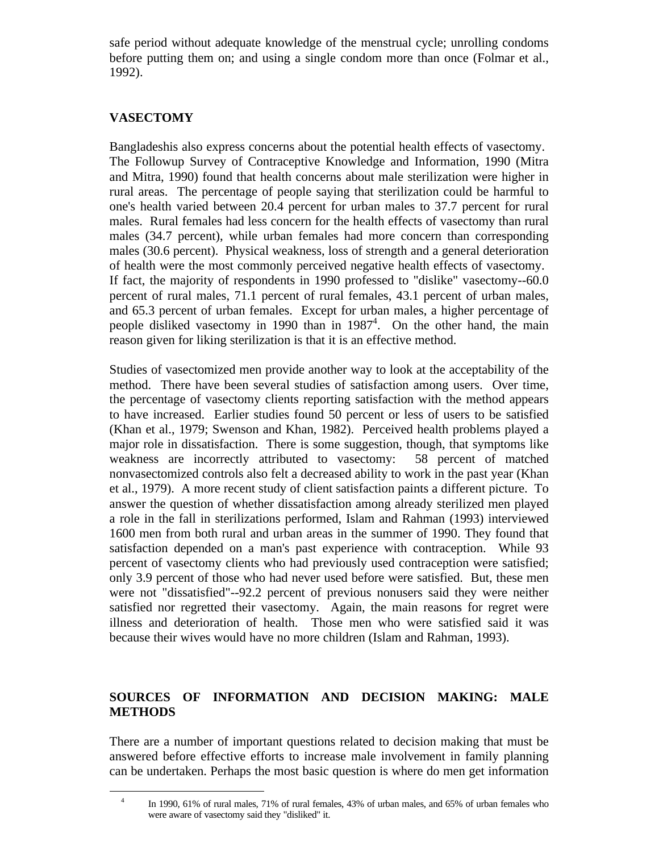safe period without adequate knowledge of the menstrual cycle; unrolling condoms before putting them on; and using a single condom more than once (Folmar et al., 1992).

## **VASECTOMY**

i

Bangladeshis also express concerns about the potential health effects of vasectomy. The Followup Survey of Contraceptive Knowledge and Information, 1990 (Mitra and Mitra, 1990) found that health concerns about male sterilization were higher in rural areas. The percentage of people saying that sterilization could be harmful to one's health varied between 20.4 percent for urban males to 37.7 percent for rural males. Rural females had less concern for the health effects of vasectomy than rural males (34.7 percent), while urban females had more concern than corresponding males (30.6 percent). Physical weakness, loss of strength and a general deterioration of health were the most commonly perceived negative health effects of vasectomy. If fact, the majority of respondents in 1990 professed to "dislike" vasectomy--60.0 percent of rural males, 71.1 percent of rural females, 43.1 percent of urban males, and 65.3 percent of urban females. Except for urban males, a higher percentage of people disliked vasectomy in 1990 than in 1987<sup>4</sup>. On the other hand, the main reason given for liking sterilization is that it is an effective method.

Studies of vasectomized men provide another way to look at the acceptability of the method. There have been several studies of satisfaction among users. Over time, the percentage of vasectomy clients reporting satisfaction with the method appears to have increased. Earlier studies found 50 percent or less of users to be satisfied (Khan et al., 1979; Swenson and Khan, 1982). Perceived health problems played a major role in dissatisfaction. There is some suggestion, though, that symptoms like weakness are incorrectly attributed to vasectomy: 58 percent of matched nonvasectomized controls also felt a decreased ability to work in the past year (Khan et al., 1979). A more recent study of client satisfaction paints a different picture. To answer the question of whether dissatisfaction among already sterilized men played a role in the fall in sterilizations performed, Islam and Rahman (1993) interviewed 1600 men from both rural and urban areas in the summer of 1990. They found that satisfaction depended on a man's past experience with contraception. While 93 percent of vasectomy clients who had previously used contraception were satisfied; only 3.9 percent of those who had never used before were satisfied. But, these men were not "dissatisfied"--92.2 percent of previous nonusers said they were neither satisfied nor regretted their vasectomy. Again, the main reasons for regret were illness and deterioration of health. Those men who were satisfied said it was because their wives would have no more children (Islam and Rahman, 1993).

## **SOURCES OF INFORMATION AND DECISION MAKING: MALE METHODS**

There are a number of important questions related to decision making that must be answered before effective efforts to increase male involvement in family planning can be undertaken. Perhaps the most basic question is where do men get information

<sup>4</sup> In 1990, 61% of rural males, 71% of rural females, 43% of urban males, and 65% of urban females who were aware of vasectomy said they "disliked" it.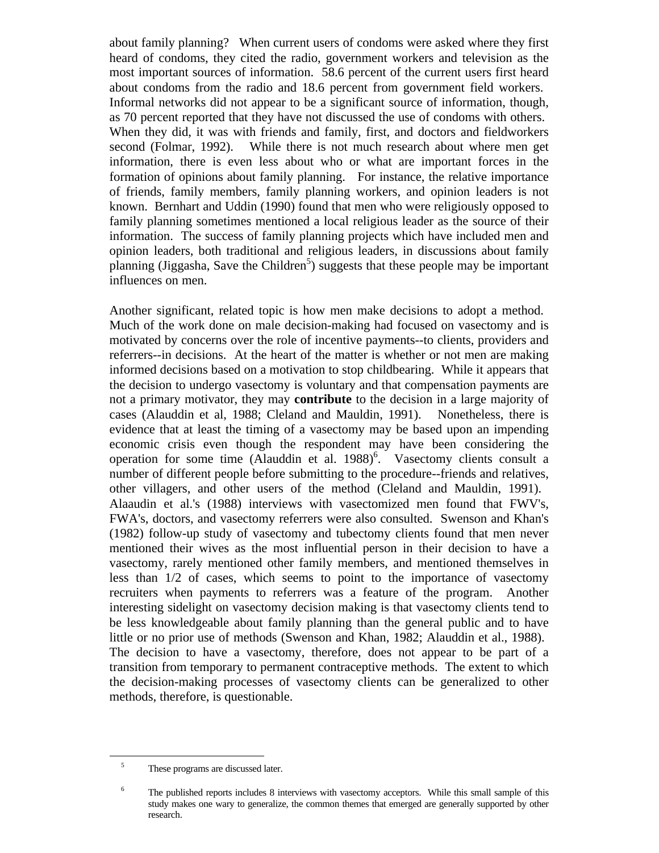about family planning? When current users of condoms were asked where they first heard of condoms, they cited the radio, government workers and television as the most important sources of information. 58.6 percent of the current users first heard about condoms from the radio and 18.6 percent from government field workers. Informal networks did not appear to be a significant source of information, though, as 70 percent reported that they have not discussed the use of condoms with others. When they did, it was with friends and family, first, and doctors and fieldworkers second (Folmar, 1992). While there is not much research about where men get information, there is even less about who or what are important forces in the formation of opinions about family planning. For instance, the relative importance of friends, family members, family planning workers, and opinion leaders is not known. Bernhart and Uddin (1990) found that men who were religiously opposed to family planning sometimes mentioned a local religious leader as the source of their information. The success of family planning projects which have included men and opinion leaders, both traditional and religious leaders, in discussions about family planning (Jiggasha, Save the Children<sup>5</sup>) suggests that these people may be important influences on men.

Another significant, related topic is how men make decisions to adopt a method. Much of the work done on male decision-making had focused on vasectomy and is motivated by concerns over the role of incentive payments--to clients, providers and referrers--in decisions. At the heart of the matter is whether or not men are making informed decisions based on a motivation to stop childbearing. While it appears that the decision to undergo vasectomy is voluntary and that compensation payments are not a primary motivator, they may **contribute** to the decision in a large majority of cases (Alauddin et al, 1988; Cleland and Mauldin, 1991). Nonetheless, there is evidence that at least the timing of a vasectomy may be based upon an impending economic crisis even though the respondent may have been considering the operation for some time (Alauddin et al.  $1988$ )<sup>6</sup>. Vasectomy clients consult a number of different people before submitting to the procedure--friends and relatives, other villagers, and other users of the method (Cleland and Mauldin, 1991). Alaaudin et al.'s (1988) interviews with vasectomized men found that FWV's, FWA's, doctors, and vasectomy referrers were also consulted. Swenson and Khan's (1982) follow-up study of vasectomy and tubectomy clients found that men never mentioned their wives as the most influential person in their decision to have a vasectomy, rarely mentioned other family members, and mentioned themselves in less than 1/2 of cases, which seems to point to the importance of vasectomy recruiters when payments to referrers was a feature of the program. Another interesting sidelight on vasectomy decision making is that vasectomy clients tend to be less knowledgeable about family planning than the general public and to have little or no prior use of methods (Swenson and Khan, 1982; Alauddin et al., 1988). The decision to have a vasectomy, therefore, does not appear to be part of a transition from temporary to permanent contraceptive methods. The extent to which the decision-making processes of vasectomy clients can be generalized to other methods, therefore, is questionable.

i

<sup>&</sup>lt;sup>5</sup> These programs are discussed later.

<sup>&</sup>lt;sup>6</sup> The published reports includes 8 interviews with vasectomy acceptors. While this small sample of this study makes one wary to generalize, the common themes that emerged are generally supported by other research.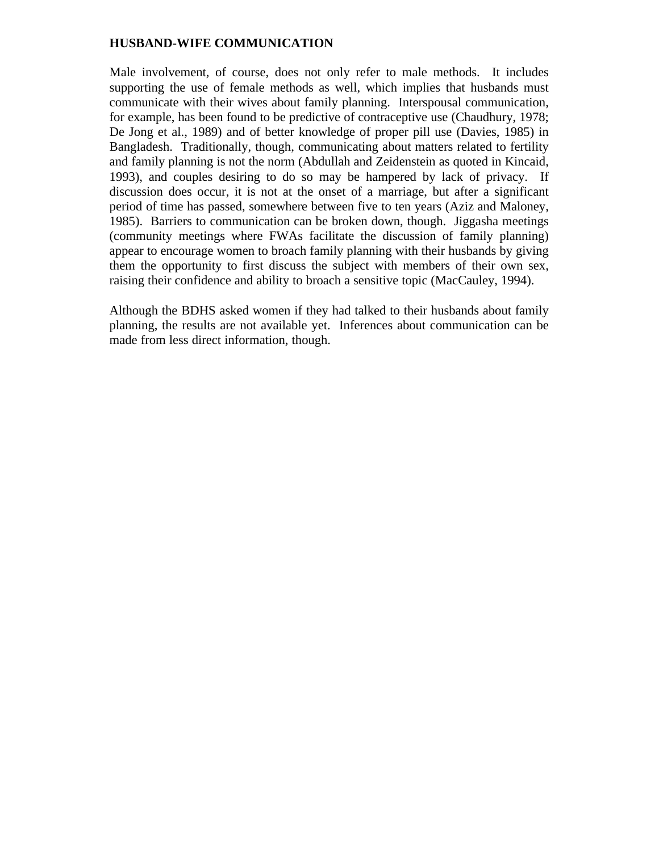#### **HUSBAND-WIFE COMMUNICATION**

Male involvement, of course, does not only refer to male methods. It includes supporting the use of female methods as well, which implies that husbands must communicate with their wives about family planning. Interspousal communication, for example, has been found to be predictive of contraceptive use (Chaudhury, 1978; De Jong et al., 1989) and of better knowledge of proper pill use (Davies, 1985) in Bangladesh. Traditionally, though, communicating about matters related to fertility and family planning is not the norm (Abdullah and Zeidenstein as quoted in Kincaid, 1993), and couples desiring to do so may be hampered by lack of privacy. If discussion does occur, it is not at the onset of a marriage, but after a significant period of time has passed, somewhere between five to ten years (Aziz and Maloney, 1985). Barriers to communication can be broken down, though. Jiggasha meetings (community meetings where FWAs facilitate the discussion of family planning) appear to encourage women to broach family planning with their husbands by giving them the opportunity to first discuss the subject with members of their own sex, raising their confidence and ability to broach a sensitive topic (MacCauley, 1994).

Although the BDHS asked women if they had talked to their husbands about family planning, the results are not available yet. Inferences about communication can be made from less direct information, though.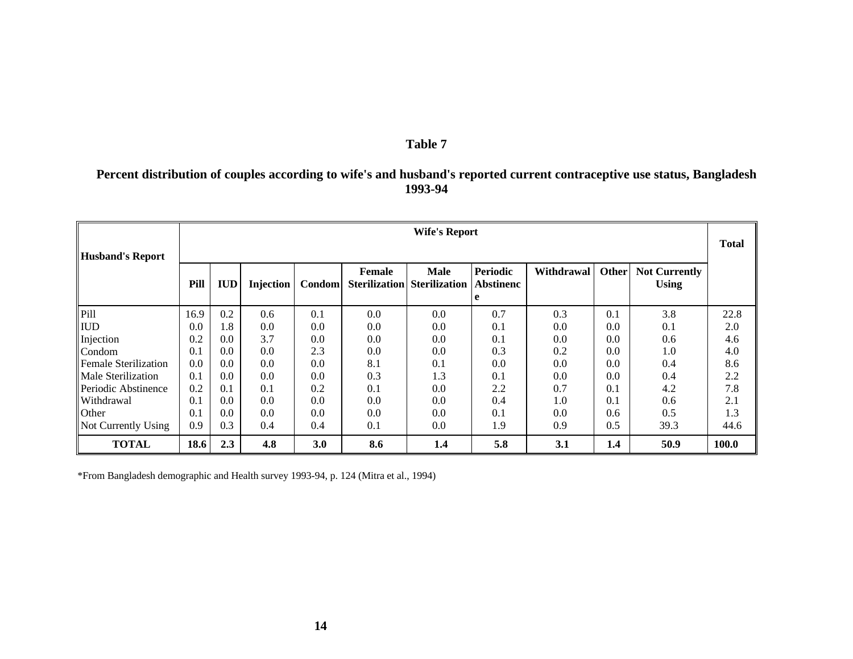#### **Table 7**

## **Percent distribution of couples according to wife's and husband's reported current contraceptive use status, Bangladesh 1993-94**

|                             | <b>Wife's Report</b> |            |                  |               |                                       |                                     |                                          |            |       | <b>Total</b>                         |       |
|-----------------------------|----------------------|------------|------------------|---------------|---------------------------------------|-------------------------------------|------------------------------------------|------------|-------|--------------------------------------|-------|
| <b>Husband's Report</b>     | Pill                 | <b>IUD</b> | <b>Injection</b> | <b>Condom</b> | <b>Female</b><br><b>Sterilization</b> | <b>Male</b><br><b>Sterilization</b> | <b>Periodic</b><br><b>Abstinenc</b><br>e | Withdrawal | Other | <b>Not Currently</b><br><b>Using</b> |       |
| Pill                        | 16.9                 | 0.2        | 0.6              | 0.1           | 0.0                                   | 0.0                                 | 0.7                                      | 0.3        | 0.1   | 3.8                                  | 22.8  |
| <b>IUD</b>                  | 0.0                  | 1.8        | 0.0              | 0.0           | 0.0                                   | 0.0                                 | 0.1                                      | 0.0        | 0.0   | 0.1                                  | 2.0   |
| Injection                   | 0.2                  | 0.0        | 3.7              | 0.0           | 0.0                                   | 0.0                                 | 0.1                                      | 0.0        | 0.0   | 0.6                                  | 4.6   |
| Condom                      | 0.1                  | 0.0        | 0.0              | 2.3           | 0.0                                   | 0.0                                 | 0.3                                      | 0.2        | 0.0   | 1.0                                  | 4.0   |
| <b>Female Sterilization</b> | 0.0                  | 0.0        | 0.0              | 0.0           | 8.1                                   | 0.1                                 | 0.0                                      | 0.0        | 0.0   | 0.4                                  | 8.6   |
| Male Sterilization          | 0.1                  | 0.0        | 0.0              | 0.0           | 0.3                                   | 1.3                                 | 0.1                                      | 0.0        | 0.0   | 0.4                                  | 2.2   |
| Periodic Abstinence         | 0.2                  | 0.1        | 0.1              | 0.2           | 0.1                                   | 0.0                                 | 2.2                                      | 0.7        | 0.1   | 4.2                                  | 7.8   |
| Withdrawal                  | 0.1                  | 0.0        | 0.0              | 0.0           | 0.0                                   | 0.0                                 | 0.4                                      | 1.0        | 0.1   | 0.6                                  | 2.1   |
| Other                       | 0.1                  | 0.0        | 0.0              | 0.0           | 0.0                                   | 0.0                                 | 0.1                                      | 0.0        | 0.6   | 0.5                                  | 1.3   |
| Not Currently Using         | 0.9                  | 0.3        | 0.4              | 0.4           | 0.1                                   | $0.0\,$                             | 1.9                                      | 0.9        | 0.5   | 39.3                                 | 44.6  |
| <b>TOTAL</b>                | 18.6                 | 2.3        | 4.8              | 3.0           | 8.6                                   | 1.4                                 | 5.8                                      | 3.1        | 1.4   | 50.9                                 | 100.0 |

\*From Bangladesh demographic and Health survey 1993-94, p. 124 (Mitra et al., 1994)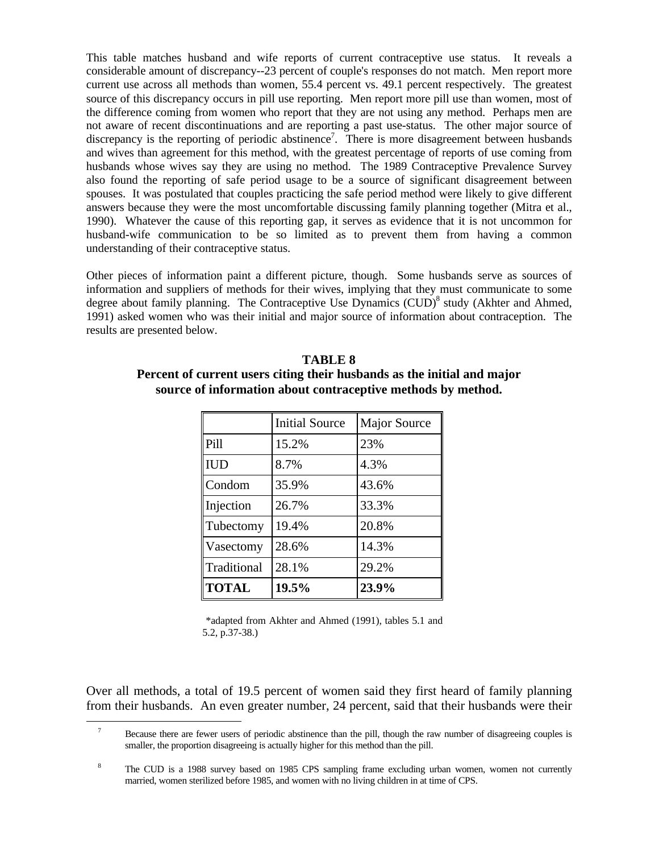This table matches husband and wife reports of current contraceptive use status. It reveals a considerable amount of discrepancy--23 percent of couple's responses do not match. Men report more current use across all methods than women, 55.4 percent vs. 49.1 percent respectively. The greatest source of this discrepancy occurs in pill use reporting. Men report more pill use than women, most of the difference coming from women who report that they are not using any method. Perhaps men are not aware of recent discontinuations and are reporting a past use-status. The other major source of discrepancy is the reporting of periodic abstinence<sup>7</sup>. There is more disagreement between husbands and wives than agreement for this method, with the greatest percentage of reports of use coming from husbands whose wives say they are using no method. The 1989 Contraceptive Prevalence Survey also found the reporting of safe period usage to be a source of significant disagreement between spouses. It was postulated that couples practicing the safe period method were likely to give different answers because they were the most uncomfortable discussing family planning together (Mitra et al., 1990). Whatever the cause of this reporting gap, it serves as evidence that it is not uncommon for husband-wife communication to be so limited as to prevent them from having a common understanding of their contraceptive status.

Other pieces of information paint a different picture, though. Some husbands serve as sources of information and suppliers of methods for their wives, implying that they must communicate to some degree about family planning. The Contraceptive Use Dynamics (CUD)<sup>8</sup> study (Akhter and Ahmed, 1991) asked women who was their initial and major source of information about contraception. The results are presented below.

|              | <b>Initial Source</b> | <b>Major Source</b> |
|--------------|-----------------------|---------------------|
| Pill         | 15.2%                 | 23%                 |
| <b>IUD</b>   | 8.7%                  | 4.3%                |
| Condom       | 35.9%                 | 43.6%               |
| Injection    | 26.7%                 | 33.3%               |
| Tubectomy    | 19.4%                 | 20.8%               |
| Vasectomy    | 28.6%                 | 14.3%               |
| Traditional  | 28.1%                 | 29.2%               |
| <b>TOTAL</b> | 19.5%                 | 23.9%               |

#### **TABLE 8**

## **Percent of current users citing their husbands as the initial and major source of information about contraceptive methods by method.**

\*adapted from Akhter and Ahmed (1991), tables 5.1 and 5.2, p.37-38.)

Over all methods, a total of 19.5 percent of women said they first heard of family planning from their husbands. An even greater number, 24 percent, said that their husbands were their

 $\overline{\phantom{0}}$ 

<sup>&</sup>lt;sup>7</sup> Because there are fewer users of periodic abstinence than the pill, though the raw number of disagreeing couples is smaller, the proportion disagreeing is actually higher for this method than the pill.

<sup>&</sup>lt;sup>8</sup> The CUD is a 1988 survey based on 1985 CPS sampling frame excluding urban women, women not currently married, women sterilized before 1985, and women with no living children in at time of CPS.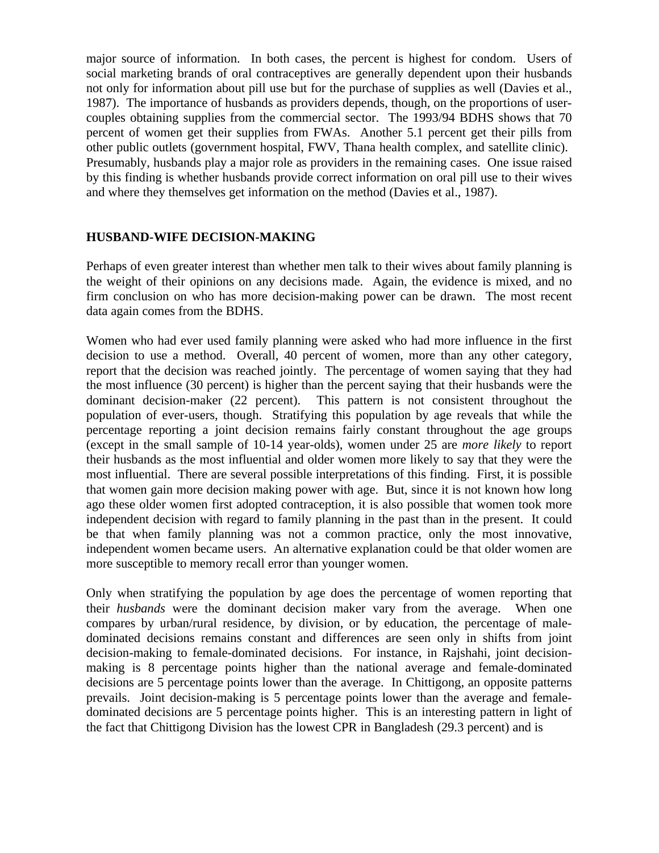major source of information. In both cases, the percent is highest for condom. Users of social marketing brands of oral contraceptives are generally dependent upon their husbands not only for information about pill use but for the purchase of supplies as well (Davies et al., 1987). The importance of husbands as providers depends, though, on the proportions of usercouples obtaining supplies from the commercial sector. The 1993/94 BDHS shows that 70 percent of women get their supplies from FWAs. Another 5.1 percent get their pills from other public outlets (government hospital, FWV, Thana health complex, and satellite clinic). Presumably, husbands play a major role as providers in the remaining cases. One issue raised by this finding is whether husbands provide correct information on oral pill use to their wives and where they themselves get information on the method (Davies et al., 1987).

#### **HUSBAND-WIFE DECISION-MAKING**

Perhaps of even greater interest than whether men talk to their wives about family planning is the weight of their opinions on any decisions made. Again, the evidence is mixed, and no firm conclusion on who has more decision-making power can be drawn. The most recent data again comes from the BDHS.

Women who had ever used family planning were asked who had more influence in the first decision to use a method. Overall, 40 percent of women, more than any other category, report that the decision was reached jointly. The percentage of women saying that they had the most influence (30 percent) is higher than the percent saying that their husbands were the dominant decision-maker (22 percent). This pattern is not consistent throughout the population of ever-users, though. Stratifying this population by age reveals that while the percentage reporting a joint decision remains fairly constant throughout the age groups (except in the small sample of 10-14 year-olds), women under 25 are *more likely* to report their husbands as the most influential and older women more likely to say that they were the most influential. There are several possible interpretations of this finding. First, it is possible that women gain more decision making power with age. But, since it is not known how long ago these older women first adopted contraception, it is also possible that women took more independent decision with regard to family planning in the past than in the present. It could be that when family planning was not a common practice, only the most innovative, independent women became users. An alternative explanation could be that older women are more susceptible to memory recall error than younger women.

Only when stratifying the population by age does the percentage of women reporting that their *husbands* were the dominant decision maker vary from the average. When one compares by urban/rural residence, by division, or by education, the percentage of maledominated decisions remains constant and differences are seen only in shifts from joint decision-making to female-dominated decisions. For instance, in Rajshahi, joint decisionmaking is 8 percentage points higher than the national average and female-dominated decisions are 5 percentage points lower than the average. In Chittigong, an opposite patterns prevails. Joint decision-making is 5 percentage points lower than the average and femaledominated decisions are 5 percentage points higher. This is an interesting pattern in light of the fact that Chittigong Division has the lowest CPR in Bangladesh (29.3 percent) and is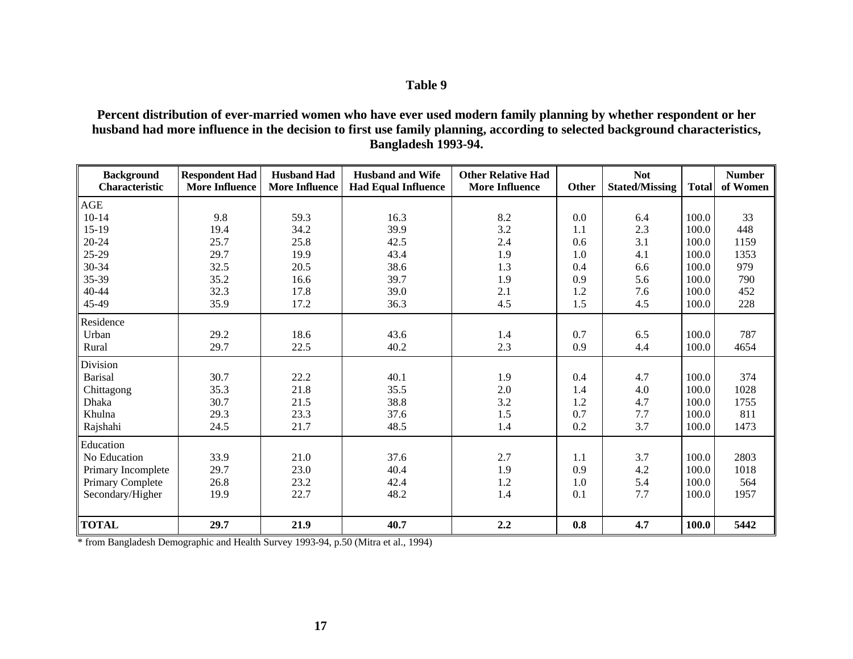## **Table 9**

**Percent distribution of ever-married women who have ever used modern family planning by whether respondent or her husband had more influence in the decision to first use family planning, according to selected background characteristics, Bangladesh 1993-94.**

| <b>Background</b><br>Characteristic | <b>Respondent Had</b><br><b>More Influence</b> | <b>Husband Had</b><br><b>More Influence</b> | <b>Husband and Wife</b><br><b>Had Equal Influence</b> | <b>Other Relative Had</b><br><b>More Influence</b> | Other | <b>Not</b><br><b>Stated/Missing</b> | <b>Total</b> | <b>Number</b><br>of Women |
|-------------------------------------|------------------------------------------------|---------------------------------------------|-------------------------------------------------------|----------------------------------------------------|-------|-------------------------------------|--------------|---------------------------|
| AGE                                 |                                                |                                             |                                                       |                                                    |       |                                     |              |                           |
| $10 - 14$                           | 9.8                                            | 59.3                                        | 16.3                                                  | 8.2                                                | 0.0   | 6.4                                 | 100.0        | 33                        |
| $15-19$                             | 19.4                                           | 34.2                                        | 39.9                                                  | 3.2                                                | 1.1   | 2.3                                 | 100.0        | 448                       |
| 20-24                               | 25.7                                           | 25.8                                        | 42.5                                                  | 2.4                                                | 0.6   | 3.1                                 | 100.0        | 1159                      |
| 25-29                               | 29.7                                           | 19.9                                        | 43.4                                                  | 1.9                                                | 1.0   | 4.1                                 | 100.0        | 1353                      |
| 30-34                               | 32.5                                           | 20.5                                        | 38.6                                                  | 1.3                                                | 0.4   | 6.6                                 | 100.0        | 979                       |
| 35-39                               | 35.2                                           | 16.6                                        | 39.7                                                  | 1.9                                                | 0.9   | 5.6                                 | 100.0        | 790                       |
| 40-44                               | 32.3                                           | 17.8                                        | 39.0                                                  | 2.1                                                | 1.2   | 7.6                                 | 100.0        | 452                       |
| 45-49                               | 35.9                                           | 17.2                                        | 36.3                                                  | 4.5                                                | 1.5   | 4.5                                 | 100.0        | 228                       |
| Residence                           |                                                |                                             |                                                       |                                                    |       |                                     |              |                           |
| Urban                               | 29.2                                           | 18.6                                        | 43.6                                                  | 1.4                                                | 0.7   | 6.5                                 | 100.0        | 787                       |
| Rural                               | 29.7                                           | 22.5                                        | 40.2                                                  | 2.3                                                | 0.9   | 4.4                                 | 100.0        | 4654                      |
| Division                            |                                                |                                             |                                                       |                                                    |       |                                     |              |                           |
| <b>Barisal</b>                      | 30.7                                           | 22.2                                        | 40.1                                                  | 1.9                                                | 0.4   | 4.7                                 | 100.0        | 374                       |
| Chittagong                          | 35.3                                           | 21.8                                        | 35.5                                                  | 2.0                                                | 1.4   | 4.0                                 | 100.0        | 1028                      |
| Dhaka                               | 30.7                                           | 21.5                                        | 38.8                                                  | 3.2                                                | 1.2   | 4.7                                 | 100.0        | 1755                      |
| Khulna                              | 29.3                                           | 23.3                                        | 37.6                                                  | 1.5                                                | 0.7   | 7.7                                 | 100.0        | 811                       |
| Rajshahi                            | 24.5                                           | 21.7                                        | 48.5                                                  | 1.4                                                | 0.2   | 3.7                                 | 100.0        | 1473                      |
| Education                           |                                                |                                             |                                                       |                                                    |       |                                     |              |                           |
| No Education                        | 33.9                                           | 21.0                                        | 37.6                                                  | 2.7                                                | 1.1   | 3.7                                 | 100.0        | 2803                      |
| Primary Incomplete                  | 29.7                                           | 23.0                                        | 40.4                                                  | 1.9                                                | 0.9   | 4.2                                 | 100.0        | 1018                      |
| Primary Complete                    | 26.8                                           | 23.2                                        | 42.4                                                  | $1.2\,$                                            | 1.0   | 5.4                                 | 100.0        | 564                       |
| Secondary/Higher                    | 19.9                                           | 22.7                                        | 48.2                                                  | 1.4                                                | 0.1   | 7.7                                 | 100.0        | 1957                      |
|                                     |                                                |                                             |                                                       |                                                    |       |                                     |              |                           |
| <b>TOTAL</b>                        | 29.7                                           | 21.9                                        | 40.7                                                  | 2.2                                                | 0.8   | 4.7                                 | 100.0        | 5442                      |

\* from Bangladesh Demographic and Health Survey 1993-94, p.50 (Mitra et al., 1994)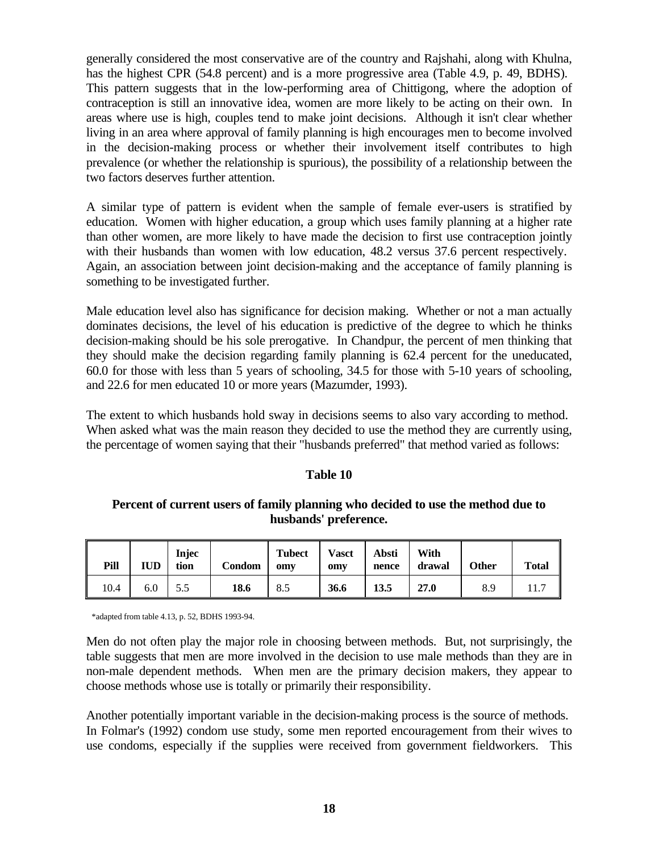generally considered the most conservative are of the country and Rajshahi, along with Khulna, has the highest CPR (54.8 percent) and is a more progressive area (Table 4.9, p. 49, BDHS). This pattern suggests that in the low-performing area of Chittigong, where the adoption of contraception is still an innovative idea, women are more likely to be acting on their own. In areas where use is high, couples tend to make joint decisions. Although it isn't clear whether living in an area where approval of family planning is high encourages men to become involved in the decision-making process or whether their involvement itself contributes to high prevalence (or whether the relationship is spurious), the possibility of a relationship between the two factors deserves further attention.

A similar type of pattern is evident when the sample of female ever-users is stratified by education. Women with higher education, a group which uses family planning at a higher rate than other women, are more likely to have made the decision to first use contraception jointly with their husbands than women with low education, 48.2 versus 37.6 percent respectively. Again, an association between joint decision-making and the acceptance of family planning is something to be investigated further.

Male education level also has significance for decision making. Whether or not a man actually dominates decisions, the level of his education is predictive of the degree to which he thinks decision-making should be his sole prerogative. In Chandpur, the percent of men thinking that they should make the decision regarding family planning is 62.4 percent for the uneducated, 60.0 for those with less than 5 years of schooling, 34.5 for those with 5-10 years of schooling, and 22.6 for men educated 10 or more years (Mazumder, 1993).

The extent to which husbands hold sway in decisions seems to also vary according to method. When asked what was the main reason they decided to use the method they are currently using, the percentage of women saying that their "husbands preferred" that method varied as follows:

## **Table 10**

### **Percent of current users of family planning who decided to use the method due to husbands' preference.**

| Pill | <b>IUD</b> | Injec<br>tion | Condom | <b>Tubect</b><br>omv | <b>Vasct</b><br>omy | Absti<br>nence | With<br>drawal | Other | <b>Total</b> |
|------|------------|---------------|--------|----------------------|---------------------|----------------|----------------|-------|--------------|
| 10.4 | 6.0        | 5.5           | 18.6   | 8.5                  | 36.6                | 13.5           | 27.0           | 8.9   |              |

\*adapted from table 4.13, p. 52, BDHS 1993-94.

Men do not often play the major role in choosing between methods. But, not surprisingly, the table suggests that men are more involved in the decision to use male methods than they are in non-male dependent methods. When men are the primary decision makers, they appear to choose methods whose use is totally or primarily their responsibility.

Another potentially important variable in the decision-making process is the source of methods. In Folmar's (1992) condom use study, some men reported encouragement from their wives to use condoms, especially if the supplies were received from government fieldworkers. This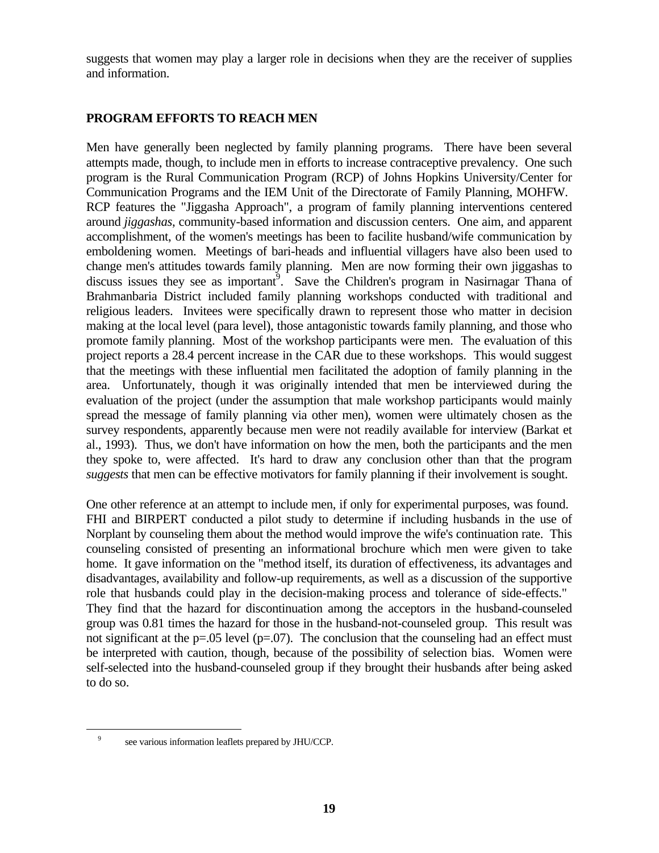suggests that women may play a larger role in decisions when they are the receiver of supplies and information.

## **PROGRAM EFFORTS TO REACH MEN**

Men have generally been neglected by family planning programs. There have been several attempts made, though, to include men in efforts to increase contraceptive prevalency. One such program is the Rural Communication Program (RCP) of Johns Hopkins University/Center for Communication Programs and the IEM Unit of the Directorate of Family Planning, MOHFW. RCP features the "Jiggasha Approach", a program of family planning interventions centered around *jiggashas*, community-based information and discussion centers. One aim, and apparent accomplishment, of the women's meetings has been to facilite husband/wife communication by emboldening women. Meetings of bari-heads and influential villagers have also been used to change men's attitudes towards family planning. Men are now forming their own jiggashas to discuss issues they see as important<sup>9</sup>. Save the Children's program in Nasirnagar Thana of Brahmanbaria District included family planning workshops conducted with traditional and religious leaders. Invitees were specifically drawn to represent those who matter in decision making at the local level (para level), those antagonistic towards family planning, and those who promote family planning. Most of the workshop participants were men. The evaluation of this project reports a 28.4 percent increase in the CAR due to these workshops. This would suggest that the meetings with these influential men facilitated the adoption of family planning in the area. Unfortunately, though it was originally intended that men be interviewed during the evaluation of the project (under the assumption that male workshop participants would mainly spread the message of family planning via other men), women were ultimately chosen as the survey respondents, apparently because men were not readily available for interview (Barkat et al., 1993). Thus, we don't have information on how the men, both the participants and the men they spoke to, were affected. It's hard to draw any conclusion other than that the program *suggests* that men can be effective motivators for family planning if their involvement is sought.

One other reference at an attempt to include men, if only for experimental purposes, was found. FHI and BIRPERT conducted a pilot study to determine if including husbands in the use of Norplant by counseling them about the method would improve the wife's continuation rate. This counseling consisted of presenting an informational brochure which men were given to take home. It gave information on the "method itself, its duration of effectiveness, its advantages and disadvantages, availability and follow-up requirements, as well as a discussion of the supportive role that husbands could play in the decision-making process and tolerance of side-effects." They find that the hazard for discontinuation among the acceptors in the husband-counseled group was 0.81 times the hazard for those in the husband-not-counseled group. This result was not significant at the  $p=.05$  level ( $p=.07$ ). The conclusion that the counseling had an effect must be interpreted with caution, though, because of the possibility of selection bias. Women were self-selected into the husband-counseled group if they brought their husbands after being asked to do so.

 $\overline{\phantom{0}}$ 

<sup>9</sup> see various information leaflets prepared by JHU/CCP.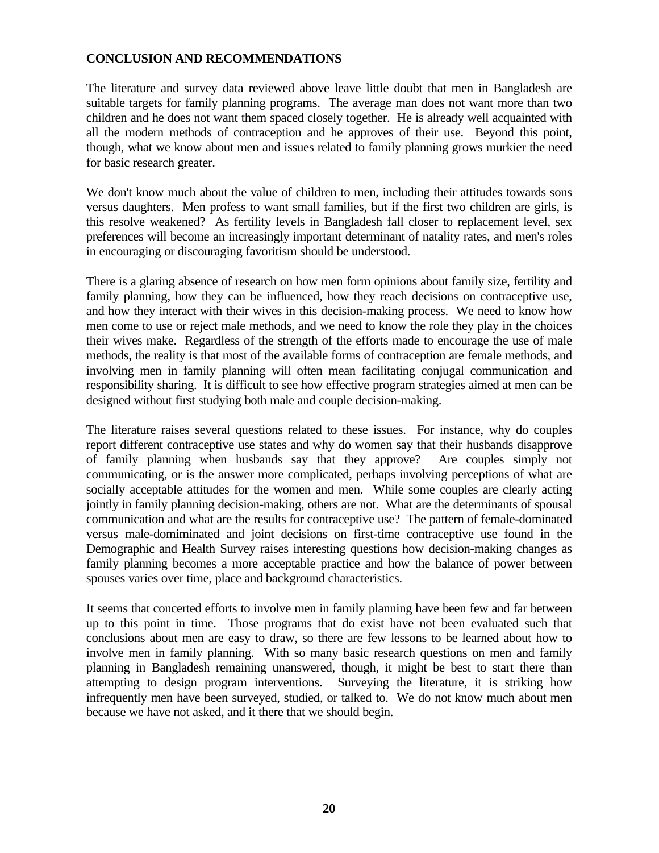## **CONCLUSION AND RECOMMENDATIONS**

The literature and survey data reviewed above leave little doubt that men in Bangladesh are suitable targets for family planning programs. The average man does not want more than two children and he does not want them spaced closely together. He is already well acquainted with all the modern methods of contraception and he approves of their use. Beyond this point, though, what we know about men and issues related to family planning grows murkier the need for basic research greater.

We don't know much about the value of children to men, including their attitudes towards sons versus daughters. Men profess to want small families, but if the first two children are girls, is this resolve weakened? As fertility levels in Bangladesh fall closer to replacement level, sex preferences will become an increasingly important determinant of natality rates, and men's roles in encouraging or discouraging favoritism should be understood.

There is a glaring absence of research on how men form opinions about family size, fertility and family planning, how they can be influenced, how they reach decisions on contraceptive use, and how they interact with their wives in this decision-making process. We need to know how men come to use or reject male methods, and we need to know the role they play in the choices their wives make. Regardless of the strength of the efforts made to encourage the use of male methods, the reality is that most of the available forms of contraception are female methods, and involving men in family planning will often mean facilitating conjugal communication and responsibility sharing. It is difficult to see how effective program strategies aimed at men can be designed without first studying both male and couple decision-making.

The literature raises several questions related to these issues. For instance, why do couples report different contraceptive use states and why do women say that their husbands disapprove of family planning when husbands say that they approve? Are couples simply not communicating, or is the answer more complicated, perhaps involving perceptions of what are socially acceptable attitudes for the women and men. While some couples are clearly acting jointly in family planning decision-making, others are not. What are the determinants of spousal communication and what are the results for contraceptive use? The pattern of female-dominated versus male-domiminated and joint decisions on first-time contraceptive use found in the Demographic and Health Survey raises interesting questions how decision-making changes as family planning becomes a more acceptable practice and how the balance of power between spouses varies over time, place and background characteristics.

It seems that concerted efforts to involve men in family planning have been few and far between up to this point in time. Those programs that do exist have not been evaluated such that conclusions about men are easy to draw, so there are few lessons to be learned about how to involve men in family planning. With so many basic research questions on men and family planning in Bangladesh remaining unanswered, though, it might be best to start there than attempting to design program interventions. Surveying the literature, it is striking how infrequently men have been surveyed, studied, or talked to. We do not know much about men because we have not asked, and it there that we should begin.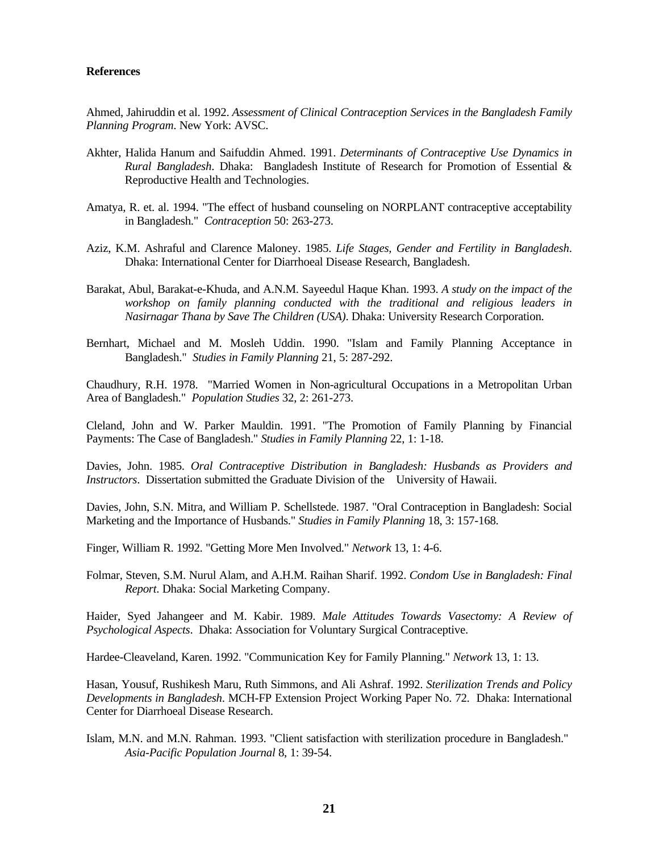#### **References**

Ahmed, Jahiruddin et al. 1992. *Assessment of Clinical Contraception Services in the Bangladesh Family Planning Program*. New York: AVSC.

- Akhter, Halida Hanum and Saifuddin Ahmed. 1991. *Determinants of Contraceptive Use Dynamics in Rural Bangladesh*. Dhaka: Bangladesh Institute of Research for Promotion of Essential & Reproductive Health and Technologies.
- Amatya, R. et. al. 1994. "The effect of husband counseling on NORPLANT contraceptive acceptability in Bangladesh." *Contraception* 50: 263-273.
- Aziz, K.M. Ashraful and Clarence Maloney. 1985. *Life Stages, Gender and Fertility in Bangladesh*. Dhaka: International Center for Diarrhoeal Disease Research, Bangladesh.
- Barakat, Abul, Barakat-e-Khuda, and A.N.M. Sayeedul Haque Khan. 1993. *A study on the impact of the workshop on family planning conducted with the traditional and religious leaders in Nasirnagar Thana by Save The Children (USA)*. Dhaka: University Research Corporation.
- Bernhart, Michael and M. Mosleh Uddin. 1990. "Islam and Family Planning Acceptance in Bangladesh." *Studies in Family Planning* 21, 5: 287-292.

Chaudhury, R.H. 1978. "Married Women in Non-agricultural Occupations in a Metropolitan Urban Area of Bangladesh." *Population Studies* 32, 2: 261-273.

Cleland, John and W. Parker Mauldin. 1991. "The Promotion of Family Planning by Financial Payments: The Case of Bangladesh." *Studies in Family Planning* 22, 1: 1-18.

Davies, John. 1985. *Oral Contraceptive Distribution in Bangladesh: Husbands as Providers and Instructors*. Dissertation submitted the Graduate Division of the University of Hawaii.

Davies, John, S.N. Mitra, and William P. Schellstede. 1987. "Oral Contraception in Bangladesh: Social Marketing and the Importance of Husbands." *Studies in Family Planning* 18, 3: 157-168.

Finger, William R. 1992. "Getting More Men Involved." *Network* 13, 1: 4-6.

Folmar, Steven, S.M. Nurul Alam, and A.H.M. Raihan Sharif. 1992. *Condom Use in Bangladesh: Final Report*. Dhaka: Social Marketing Company.

Haider, Syed Jahangeer and M. Kabir. 1989. *Male Attitudes Towards Vasectomy: A Review of Psychological Aspects*. Dhaka: Association for Voluntary Surgical Contraceptive.

Hardee-Cleaveland, Karen. 1992. "Communication Key for Family Planning." *Network* 13, 1: 13.

Hasan, Yousuf, Rushikesh Maru, Ruth Simmons, and Ali Ashraf. 1992. *Sterilization Trends and Policy Developments in Bangladesh*. MCH-FP Extension Project Working Paper No. 72. Dhaka: International Center for Diarrhoeal Disease Research.

Islam, M.N. and M.N. Rahman. 1993. "Client satisfaction with sterilization procedure in Bangladesh." *Asia-Pacific Population Journal* 8, 1: 39-54.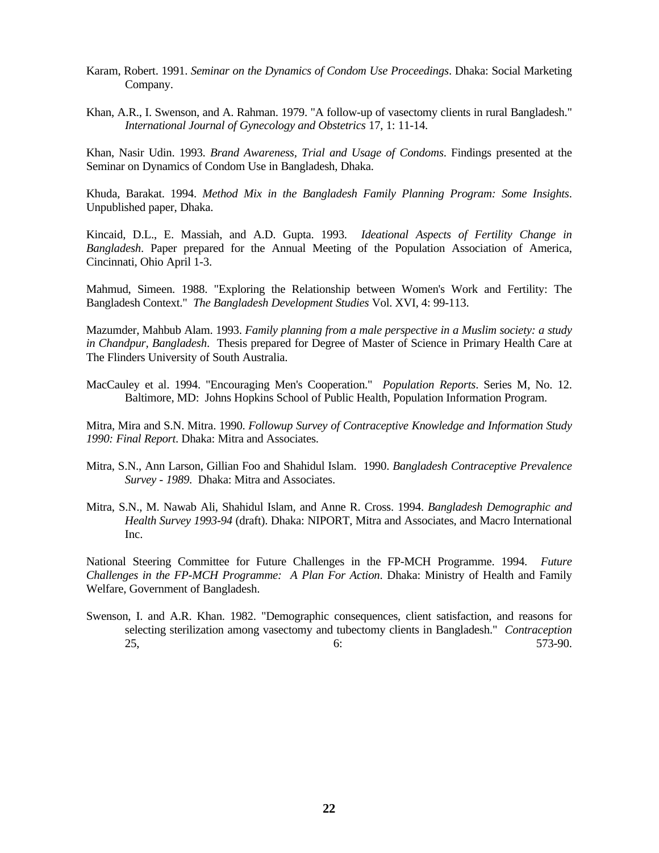- Karam, Robert. 1991. *Seminar on the Dynamics of Condom Use Proceedings*. Dhaka: Social Marketing Company.
- Khan, A.R., I. Swenson, and A. Rahman. 1979. "A follow-up of vasectomy clients in rural Bangladesh." *International Journal of Gynecology and Obstetrics* 17, 1: 11-14.

Khan, Nasir Udin. 1993. *Brand Awareness, Trial and Usage of Condoms*. Findings presented at the Seminar on Dynamics of Condom Use in Bangladesh, Dhaka.

Khuda, Barakat. 1994. *Method Mix in the Bangladesh Family Planning Program: Some Insights*. Unpublished paper, Dhaka.

Kincaid, D.L., E. Massiah, and A.D. Gupta. 1993. *Ideational Aspects of Fertility Change in Bangladesh*. Paper prepared for the Annual Meeting of the Population Association of America, Cincinnati, Ohio April 1-3.

Mahmud, Simeen. 1988. "Exploring the Relationship between Women's Work and Fertility: The Bangladesh Context." *The Bangladesh Development Studies* Vol. XVI, 4: 99-113.

Mazumder, Mahbub Alam. 1993. *Family planning from a male perspective in a Muslim society: a study in Chandpur, Bangladesh*. Thesis prepared for Degree of Master of Science in Primary Health Care at The Flinders University of South Australia.

MacCauley et al. 1994. "Encouraging Men's Cooperation." *Population Reports*. Series M, No. 12. Baltimore, MD: Johns Hopkins School of Public Health, Population Information Program.

Mitra, Mira and S.N. Mitra. 1990. *Followup Survey of Contraceptive Knowledge and Information Study 1990: Final Report*. Dhaka: Mitra and Associates.

- Mitra, S.N., Ann Larson, Gillian Foo and Shahidul Islam. 1990. *Bangladesh Contraceptive Prevalence Survey - 1989*. Dhaka: Mitra and Associates.
- Mitra, S.N., M. Nawab Ali, Shahidul Islam, and Anne R. Cross. 1994. *Bangladesh Demographic and Health Survey 1993-94* (draft). Dhaka: NIPORT, Mitra and Associates, and Macro International Inc.

National Steering Committee for Future Challenges in the FP-MCH Programme. 1994. *Future Challenges in the FP-MCH Programme: A Plan For Action*. Dhaka: Ministry of Health and Family Welfare, Government of Bangladesh.

Swenson, I. and A.R. Khan. 1982. "Demographic consequences, client satisfaction, and reasons for selecting sterilization among vasectomy and tubectomy clients in Bangladesh." *Contraception* 25, 6: 573-90.